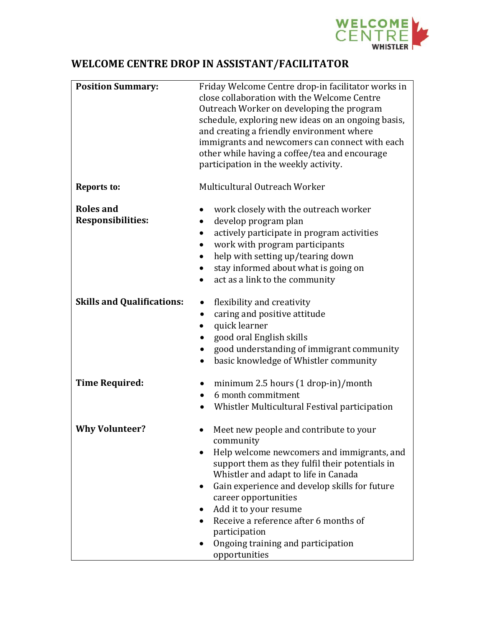

## **WELCOME CENTRE DROP IN ASSISTANT/FACILITATOR**

| <b>Position Summary:</b>                     | Friday Welcome Centre drop-in facilitator works in<br>close collaboration with the Welcome Centre<br>Outreach Worker on developing the program<br>schedule, exploring new ideas on an ongoing basis,<br>and creating a friendly environment where<br>immigrants and newcomers can connect with each<br>other while having a coffee/tea and encourage<br>participation in the weekly activity.                   |
|----------------------------------------------|-----------------------------------------------------------------------------------------------------------------------------------------------------------------------------------------------------------------------------------------------------------------------------------------------------------------------------------------------------------------------------------------------------------------|
| <b>Reports to:</b>                           | Multicultural Outreach Worker                                                                                                                                                                                                                                                                                                                                                                                   |
| <b>Roles and</b><br><b>Responsibilities:</b> | work closely with the outreach worker<br>develop program plan<br>actively participate in program activities<br>$\bullet$<br>work with program participants<br>help with setting up/tearing down<br>$\bullet$<br>stay informed about what is going on<br>$\bullet$<br>act as a link to the community<br>$\bullet$                                                                                                |
| <b>Skills and Qualifications:</b>            | flexibility and creativity<br>caring and positive attitude<br>$\bullet$<br>quick learner<br>good oral English skills<br>good understanding of immigrant community<br>٠<br>basic knowledge of Whistler community<br>$\bullet$                                                                                                                                                                                    |
| <b>Time Required:</b>                        | minimum 2.5 hours $(1$ drop-in $)/$ month<br>$\bullet$<br>6 month commitment<br>Whistler Multicultural Festival participation                                                                                                                                                                                                                                                                                   |
| <b>Why Volunteer?</b>                        | Meet new people and contribute to your<br>community<br>Help welcome newcomers and immigrants, and<br>support them as they fulfil their potentials in<br>Whistler and adapt to life in Canada<br>Gain experience and develop skills for future<br>career opportunities<br>Add it to your resume<br>Receive a reference after 6 months of<br>participation<br>Ongoing training and participation<br>opportunities |